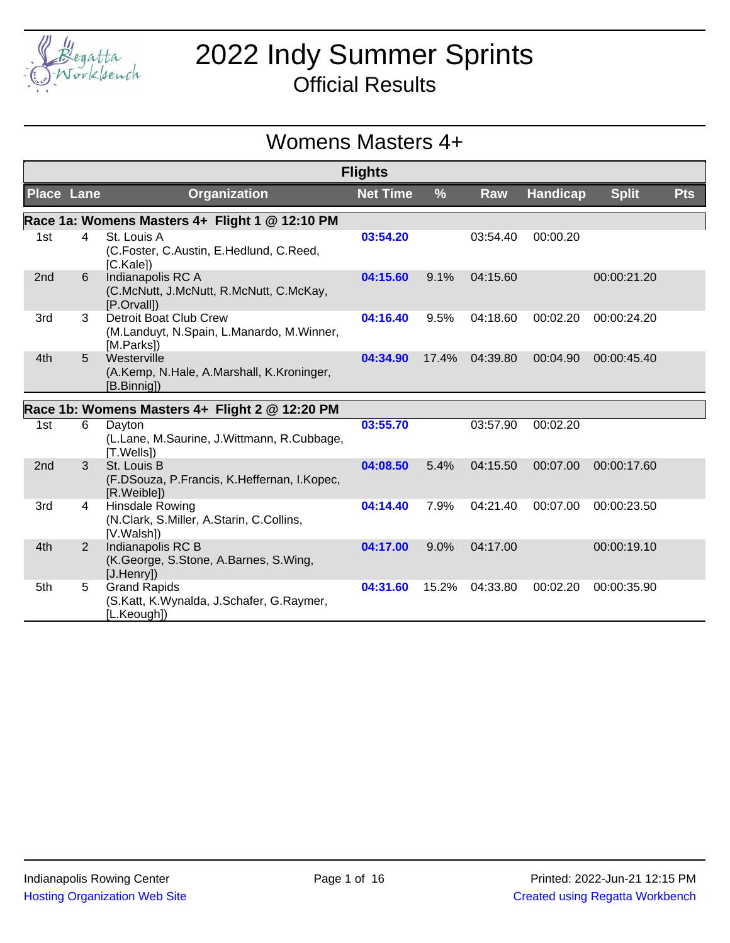

# 2022 Indy Summer Sprints

Official Results

## Womens Masters 4+

|                   |                |                                                                                          | <b>Flights</b>  |               |          |                 |              |            |
|-------------------|----------------|------------------------------------------------------------------------------------------|-----------------|---------------|----------|-----------------|--------------|------------|
| <b>Place Lane</b> |                | <b>Organization</b>                                                                      | <b>Net Time</b> | $\frac{9}{6}$ | Raw      | <b>Handicap</b> | <b>Split</b> | <b>Pts</b> |
|                   |                | Race 1a: Womens Masters 4+ Flight 1 @ 12:10 PM                                           |                 |               |          |                 |              |            |
| 1st               | 4              | St. Louis A<br>(C.Foster, C.Austin, E.Hedlund, C.Reed,<br>[C.Kale]                       | 03:54.20        |               | 03:54.40 | 00:00.20        |              |            |
| 2nd               | 6              | Indianapolis RC A<br>(C.McNutt, J.McNutt, R.McNutt, C.McKay,<br>[P.Orvall])              | 04:15.60        | 9.1%          | 04:15.60 |                 | 00:00:21.20  |            |
| 3rd               | 3              | <b>Detroit Boat Club Crew</b><br>(M.Landuyt, N.Spain, L.Manardo, M.Winner,<br>[M.Parks]) | 04:16.40        | 9.5%          | 04:18.60 | 00:02.20        | 00:00:24.20  |            |
| 4th               | $5^{\circ}$    | Westerville<br>(A.Kemp, N.Hale, A.Marshall, K.Kroninger,<br>[B.Binnig])                  | 04:34.90        | 17.4%         | 04:39.80 | 00:04.90        | 00:00:45.40  |            |
|                   |                | Race 1b: Womens Masters 4+ Flight 2 @ 12:20 PM                                           |                 |               |          |                 |              |            |
| 1st               | 6              | Dayton<br>(L.Lane, M.Saurine, J.Wittmann, R.Cubbage,<br>[T.Wells])                       | 03:55.70        |               | 03:57.90 | 00:02.20        |              |            |
| 2 <sub>nd</sub>   | 3              | St. Louis B<br>(F.DSouza, P.Francis, K.Heffernan, I.Kopec,<br>[R.Weible])                | 04:08.50        | 5.4%          | 04:15.50 | 00:07.00        | 00:00:17.60  |            |
| 3rd               | 4              | <b>Hinsdale Rowing</b><br>(N.Clark, S.Miller, A.Starin, C.Collins,<br>[V.Walsh])         | 04:14.40        | 7.9%          | 04:21.40 | 00:07.00        | 00:00:23.50  |            |
| 4th               | $\overline{2}$ | Indianapolis RC B<br>(K.George, S.Stone, A.Barnes, S.Wing,<br>[J.Henry])                 | 04:17.00        | 9.0%          | 04:17.00 |                 | 00:00:19.10  |            |
| 5th               | 5              | <b>Grand Rapids</b><br>(S.Katt, K.Wynalda, J.Schafer, G.Raymer,<br>[L.Keough])           | 04:31.60        | 15.2%         | 04:33.80 | 00:02.20        | 00:00:35.90  |            |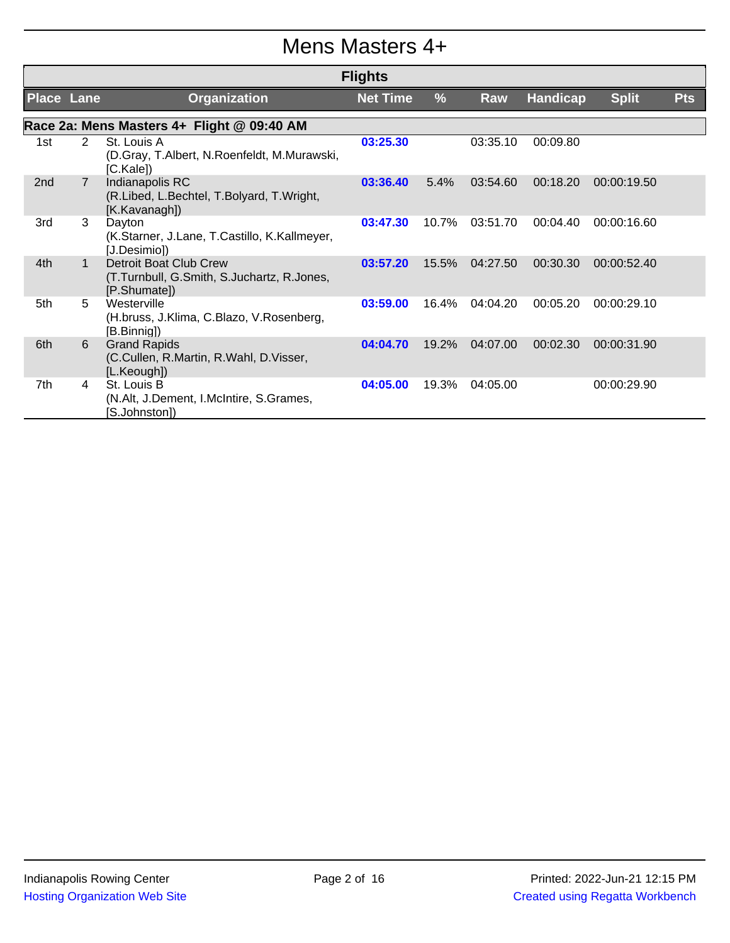#### Mens Masters 4+

|                   |                |                                                                                      | <b>Flights</b>  |       |          |                 |              |            |
|-------------------|----------------|--------------------------------------------------------------------------------------|-----------------|-------|----------|-----------------|--------------|------------|
| <b>Place Lane</b> |                | <b>Organization</b>                                                                  | <b>Net Time</b> | %     | Raw      | <b>Handicap</b> | <b>Split</b> | <b>Pts</b> |
|                   |                | Race 2a: Mens Masters 4+ Flight @ 09:40 AM                                           |                 |       |          |                 |              |            |
| 1st               | 2              | St. Louis A<br>(D.Gray, T.Albert, N.Roenfeldt, M.Murawski,<br>[C.Kale])              | 03:25.30        |       | 03:35.10 | 00:09.80        |              |            |
| 2 <sub>nd</sub>   | $\overline{7}$ | Indianapolis RC<br>(R.Libed, L.Bechtel, T.Bolyard, T.Wright,<br>[K.Kavanagh])        | 03:36.40        | 5.4%  | 03:54.60 | 00:18.20        | 00:00:19.50  |            |
| 3rd               | 3              | Dayton<br>(K.Starner, J.Lane, T.Castillo, K.Kallmeyer,<br>[J.Desimio])               | 03:47.30        | 10.7% | 03:51.70 | 00:04.40        | 00:00:16.60  |            |
| 4th               | $\mathbf{1}$   | Detroit Boat Club Crew<br>(T.Turnbull, G.Smith, S.Juchartz, R.Jones,<br>[P.Shumate]) | 03:57.20        | 15.5% | 04:27.50 | 00:30.30        | 00:00:52.40  |            |
| 5th               | 5              | Westerville<br>(H.bruss, J.Klima, C.Blazo, V.Rosenberg,<br>[B.Binnig])               | 03:59.00        | 16.4% | 04:04.20 | 00:05.20        | 00:00:29.10  |            |
| 6th               | 6              | <b>Grand Rapids</b><br>(C.Cullen, R.Martin, R.Wahl, D.Visser,<br>[L.Keough])         | 04:04.70        | 19.2% | 04:07.00 | 00:02.30        | 00:00:31.90  |            |
| 7th               | 4              | St. Louis B<br>(N.Alt, J.Dement, I.McIntire, S.Grames,<br>[S.Johnston])              | 04:05.00        | 19.3% | 04:05.00 |                 | 00:00:29.90  |            |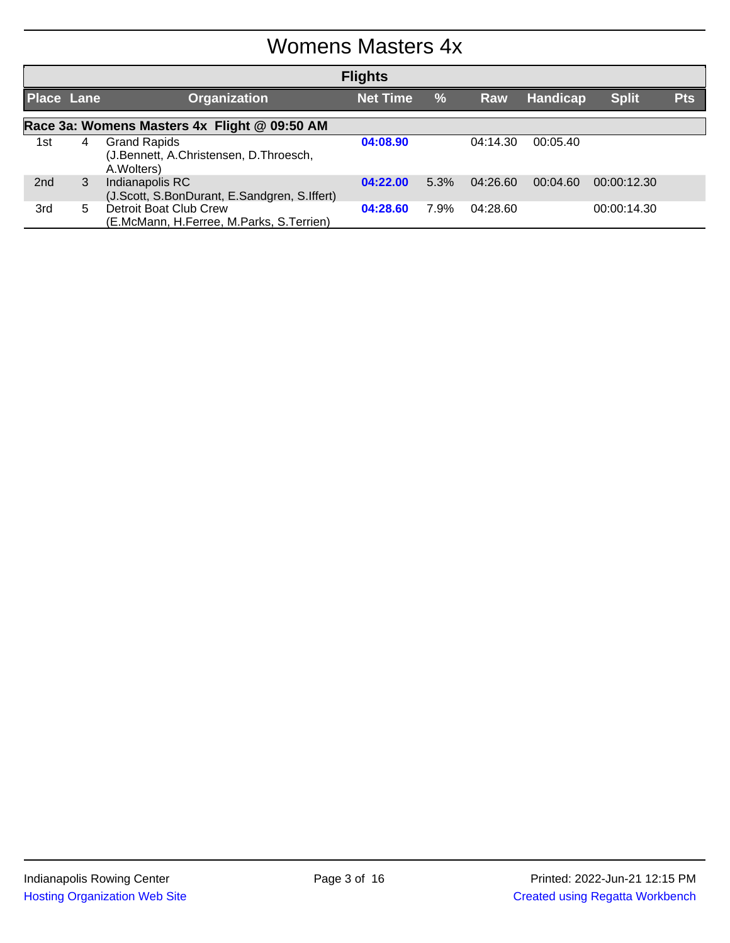## Womens Masters 4x

|                   | <b>Flights</b>                               |                                                                              |                 |               |          |                 |              |            |  |  |
|-------------------|----------------------------------------------|------------------------------------------------------------------------------|-----------------|---------------|----------|-----------------|--------------|------------|--|--|
| <b>Place Lane</b> |                                              | Organization                                                                 | <b>Net Time</b> | $\frac{0}{0}$ | Raw      | <b>Handicap</b> | <b>Split</b> | <b>Pts</b> |  |  |
|                   | Race 3a: Womens Masters 4x Flight @ 09:50 AM |                                                                              |                 |               |          |                 |              |            |  |  |
| 1st               | 4                                            | <b>Grand Rapids</b><br>(J.Bennett, A.Christensen, D.Throesch,<br>A. Wolters) | 04:08.90        |               | 04:14.30 | 00:05.40        |              |            |  |  |
| 2 <sub>nd</sub>   | 3                                            | Indianapolis RC<br>(J.Scott, S.BonDurant, E.Sandgren, S.Iffert)              | 04:22.00        | 5.3%          | 04:26.60 | 00:04.60        | 00:00:12.30  |            |  |  |
| 3rd               | 5.                                           | Detroit Boat Club Crew<br>(E.McMann, H.Ferree, M.Parks, S.Terrien)           | 04:28.60        | 7.9%          | 04:28.60 |                 | 00:00:14.30  |            |  |  |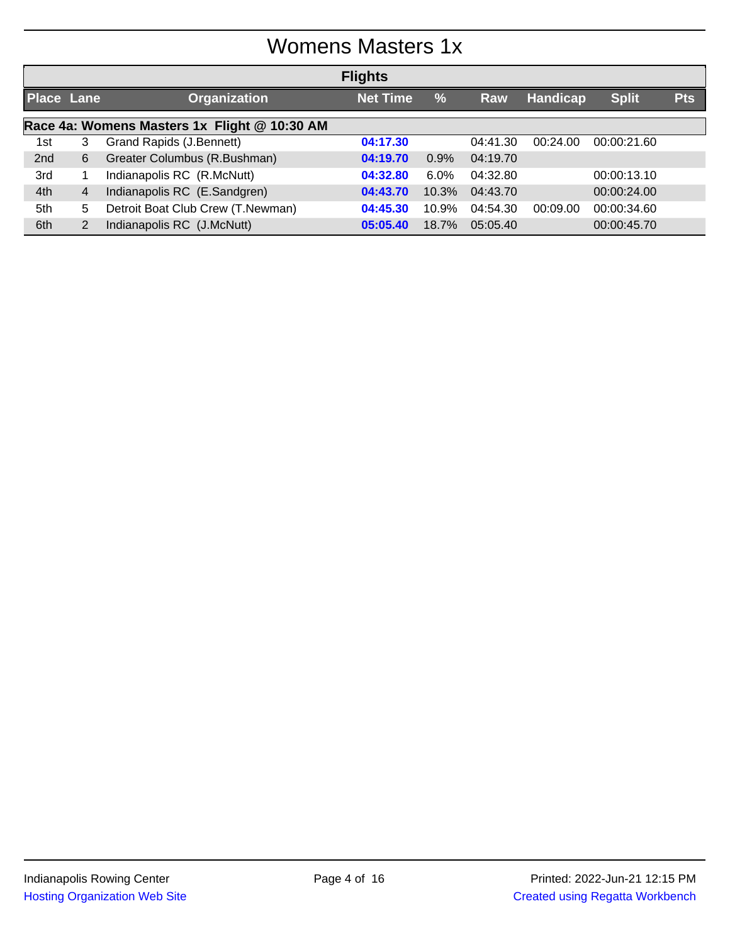# Womens Masters 1x

|                   |                                              |                                   | <b>Flights</b>  |         |          |                 |              |            |  |
|-------------------|----------------------------------------------|-----------------------------------|-----------------|---------|----------|-----------------|--------------|------------|--|
| <b>Place Lane</b> |                                              | <b>Organization</b>               | <b>Net Time</b> | %       | Raw      | <b>Handicap</b> | <b>Split</b> | <b>Pts</b> |  |
|                   | Race 4a: Womens Masters 1x Flight @ 10:30 AM |                                   |                 |         |          |                 |              |            |  |
| 1st               | 3                                            | Grand Rapids (J.Bennett)          | 04:17.30        |         | 04:41.30 | 00:24.00        | 00:00:21.60  |            |  |
| 2nd               | 6                                            | Greater Columbus (R.Bushman)      | 04:19.70        | 0.9%    | 04:19.70 |                 |              |            |  |
| 3rd               |                                              | Indianapolis RC (R.McNutt)        | 04:32.80        | $6.0\%$ | 04:32.80 |                 | 00:00:13.10  |            |  |
| 4th               | $\overline{4}$                               | Indianapolis RC (E.Sandgren)      | 04:43.70        | 10.3%   | 04:43.70 |                 | 00:00:24.00  |            |  |
| 5th               | 5.                                           | Detroit Boat Club Crew (T.Newman) | 04:45.30        | 10.9%   | 04:54.30 | 00:09.00        | 00:00:34.60  |            |  |
| 6th               |                                              | Indianapolis RC (J.McNutt)        | 05:05.40        | 18.7%   | 05:05.40 |                 | 00:00:45.70  |            |  |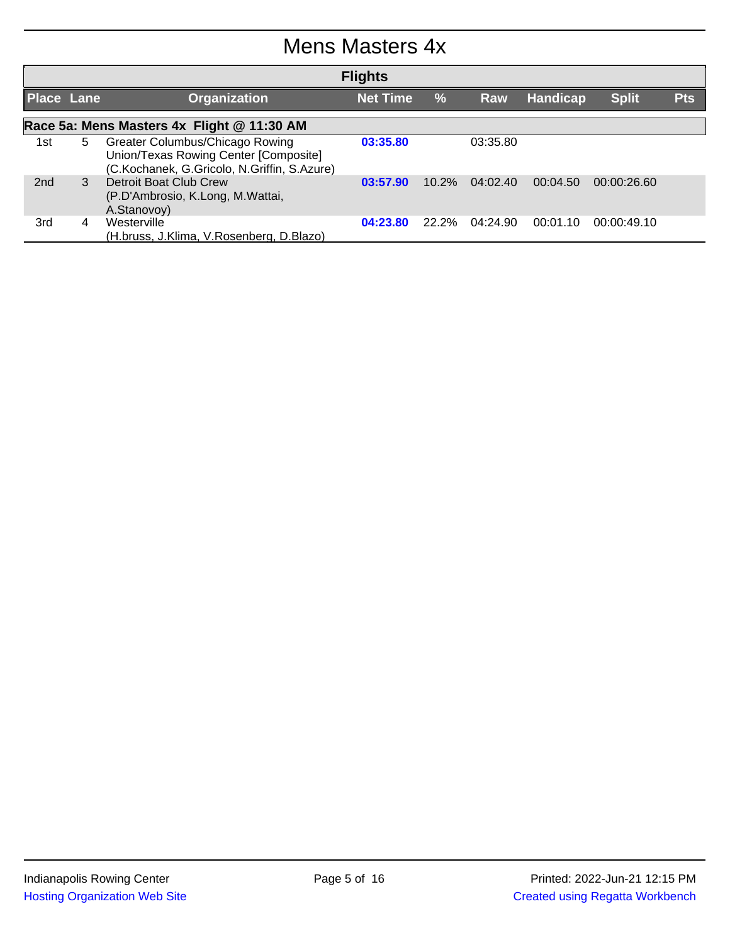## Mens Masters 4x

|                   |                                            |                                                                                                                         | <b>Flights</b>  |               |          |          |              |            |  |  |
|-------------------|--------------------------------------------|-------------------------------------------------------------------------------------------------------------------------|-----------------|---------------|----------|----------|--------------|------------|--|--|
| <b>Place Lane</b> |                                            | <b>Organization</b>                                                                                                     | <b>Net Time</b> | $\frac{0}{0}$ | Raw      | Handicap | <b>Split</b> | <b>Pts</b> |  |  |
|                   | Race 5a: Mens Masters 4x Flight @ 11:30 AM |                                                                                                                         |                 |               |          |          |              |            |  |  |
| 1st               | 5.                                         | Greater Columbus/Chicago Rowing<br>Union/Texas Rowing Center [Composite]<br>(C.Kochanek, G.Gricolo, N.Griffin, S.Azure) | 03:35.80        |               | 03:35.80 |          |              |            |  |  |
| 2 <sub>nd</sub>   | 3                                          | Detroit Boat Club Crew<br>(P.D'Ambrosio, K.Long, M.Wattai,<br>A.Stanovoy)                                               | 03:57.90        | $10.2\%$      | 04:02.40 | 00:04.50 | 00:00:26.60  |            |  |  |
| 3rd               | 4                                          | Westerville<br>(H.bruss, J.Klima, V.Rosenberg, D.Blazo)                                                                 | 04:23.80        | $22.2\%$      | 04:24.90 | 00:01.10 | 00:00:49.10  |            |  |  |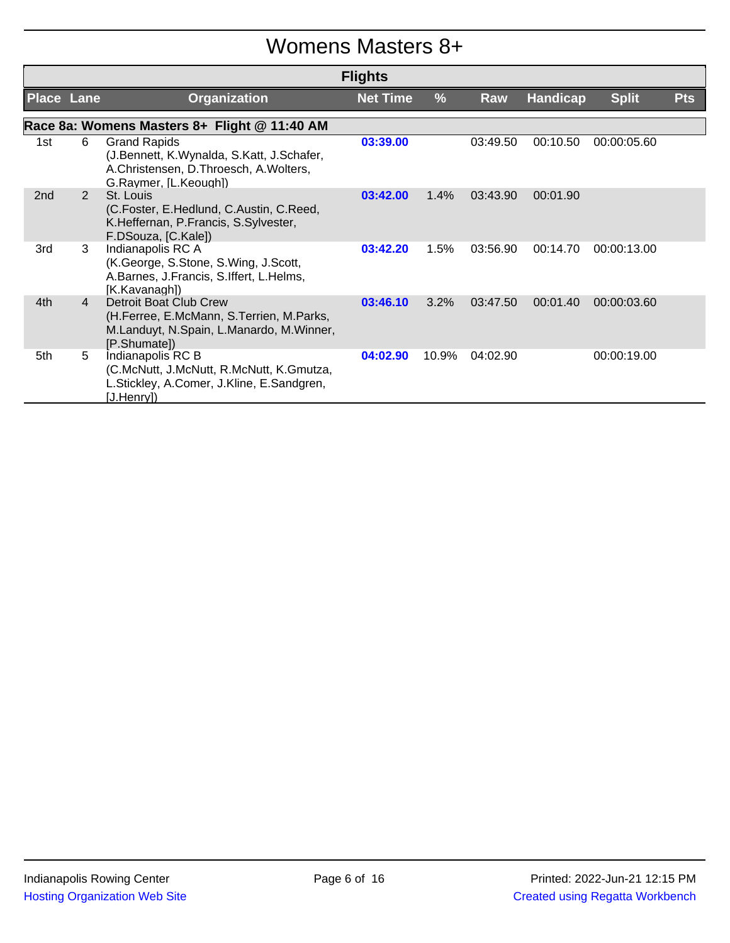## Womens Masters 8+

|                   |                |                                                                                                                                    | <b>Flights</b>  |               |          |                 |              |            |
|-------------------|----------------|------------------------------------------------------------------------------------------------------------------------------------|-----------------|---------------|----------|-----------------|--------------|------------|
| <b>Place Lane</b> |                | Organization                                                                                                                       | <b>Net Time</b> | $\frac{0}{0}$ | Raw      | <b>Handicap</b> | <b>Split</b> | <b>Pts</b> |
|                   |                | Race 8a: Womens Masters 8+ Flight @ 11:40 AM                                                                                       |                 |               |          |                 |              |            |
| 1st               | 6              | <b>Grand Rapids</b><br>(J.Bennett, K.Wynalda, S.Katt, J.Schafer,<br>A.Christensen, D.Throesch, A.Wolters,<br>G.Raymer, [L.Keough]) | 03:39.00        |               | 03:49.50 | 00:10.50        | 00:00:05.60  |            |
| 2 <sub>nd</sub>   | 2              | St. Louis<br>(C.Foster, E.Hedlund, C.Austin, C.Reed,<br>K.Heffernan, P.Francis, S.Sylvester,<br>F.DSouza, [C.Kale])                | 03:42.00        | 1.4%          | 03:43.90 | 00:01.90        |              |            |
| 3rd               | 3              | Indianapolis RC A<br>(K.George, S.Stone, S.Wing, J.Scott,<br>A.Barnes, J.Francis, S.Iffert, L.Helms,<br>[K.Kavanagh])              | 03:42.20        | 1.5%          | 03:56.90 | 00:14.70        | 00:00:13.00  |            |
| 4th               | $\overline{4}$ | Detroit Boat Club Crew<br>(H.Ferree, E.McMann, S.Terrien, M.Parks,<br>M.Landuyt, N.Spain, L.Manardo, M.Winner,<br>[P.Shumate])     | 03:46.10        | 3.2%          | 03:47.50 | 00:01.40        | 00:00:03.60  |            |
| 5th               | 5              | Indianapolis RC B<br>(C.McNutt, J.McNutt, R.McNutt, K.Gmutza,<br>L.Stickley, A.Comer, J.Kline, E.Sandgren,<br>[J.Henry])           | 04:02.90        | 10.9%         | 04:02.90 |                 | 00:00:19.00  |            |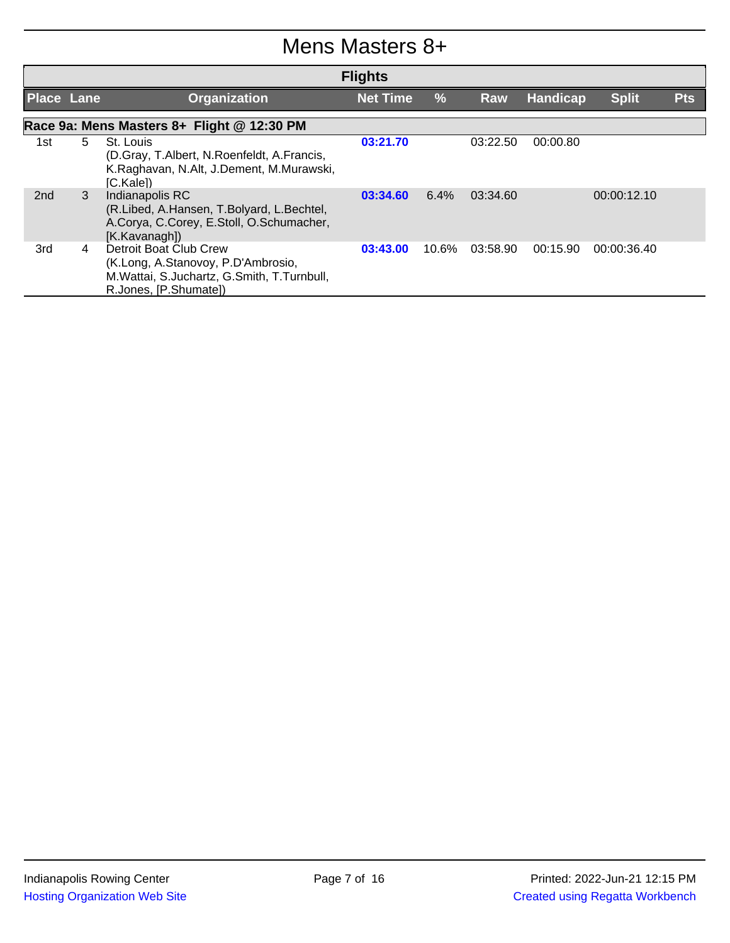#### Mens Masters 8+

|                   |    |                                                                                                                                     | <b>Flights</b>  |               |          |                 |              |            |
|-------------------|----|-------------------------------------------------------------------------------------------------------------------------------------|-----------------|---------------|----------|-----------------|--------------|------------|
| <b>Place Lane</b> |    | <b>Organization</b>                                                                                                                 | <b>Net Time</b> | $\frac{0}{0}$ | Raw      | <b>Handicap</b> | <b>Split</b> | <b>Pts</b> |
|                   |    | Race 9a: Mens Masters 8+ Flight @ 12:30 PM                                                                                          |                 |               |          |                 |              |            |
| 1st               | 5. | St. Louis<br>(D.Gray, T.Albert, N.Roenfeldt, A.Francis,<br>K.Raghavan, N.Alt, J.Dement, M.Murawski,<br>[C.Kale])                    | 03:21.70        |               | 03:22.50 | 00:00.80        |              |            |
| 2nd               | 3  | Indianapolis RC<br>(R.Libed, A.Hansen, T.Bolyard, L.Bechtel,<br>A.Corya, C.Corey, E.Stoll, O.Schumacher,<br>[K.Kavanagh])           | 03:34.60        | $6.4\%$       | 03:34.60 |                 | 00:00:12.10  |            |
| 3rd               | 4  | Detroit Boat Club Crew<br>(K.Long, A.Stanovoy, P.D'Ambrosio,<br>M.Wattai, S.Juchartz, G.Smith, T.Turnbull,<br>R.Jones, [P.Shumate]) | 03:43.00        | 10.6%         | 03:58.90 | 00:15.90        | 00:00:36.40  |            |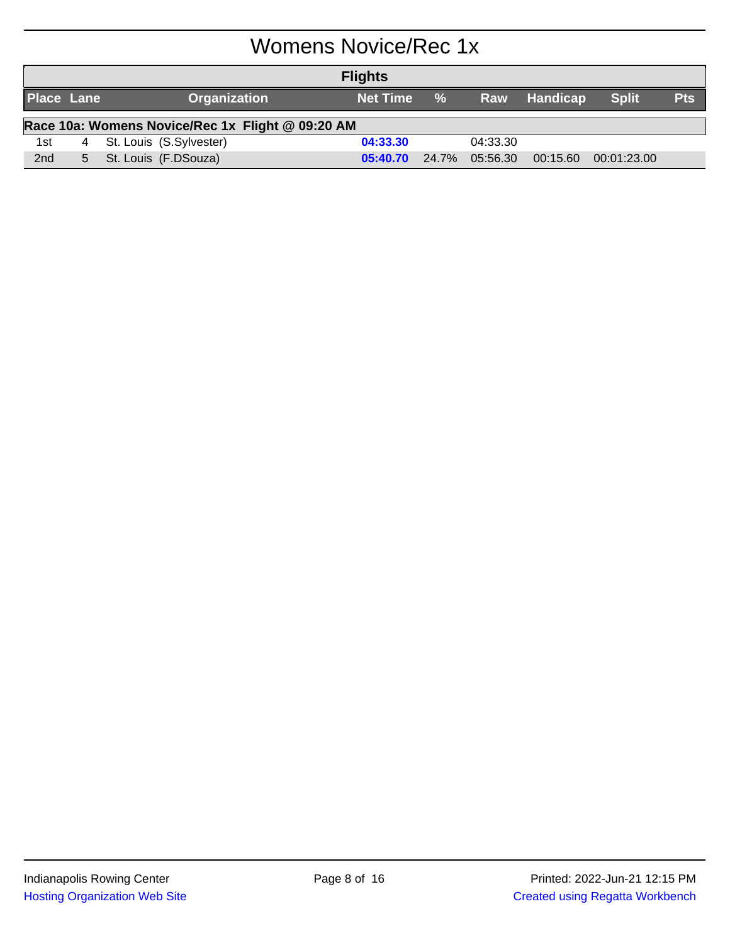# Womens Novice/Rec 1x

| <b>Flights</b>                                   |  |  |                           |            |       |          |              |              |            |
|--------------------------------------------------|--|--|---------------------------|------------|-------|----------|--------------|--------------|------------|
| <b>Place Lane</b>                                |  |  | <b>Organization</b>       | Net Time % |       |          | Raw Handicap | <b>Split</b> | <b>Pts</b> |
| Race 10a: Womens Novice/Rec 1x Flight @ 09:20 AM |  |  |                           |            |       |          |              |              |            |
| 1st                                              |  |  | 4 St. Louis (S.Sylvester) | 04:33.30   |       | 04:33.30 |              |              |            |
| 2nd                                              |  |  | 5 St. Louis (F.DSouza)    | 05:40.70   | 24.7% | 05:56.30 | 00:15.60     | 00:01:23.00  |            |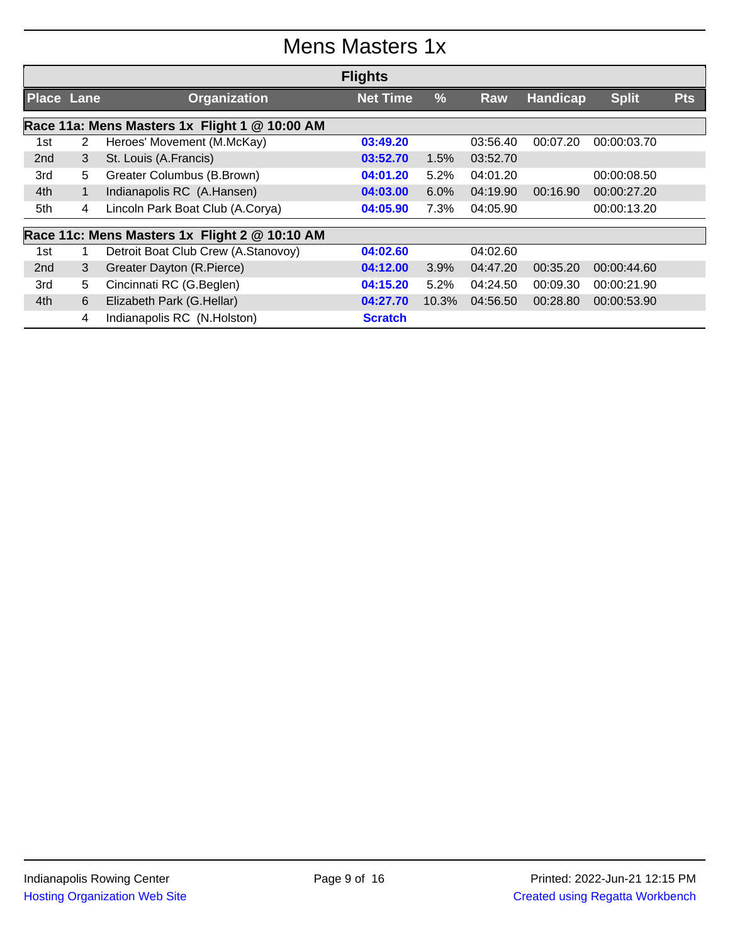# Mens Masters 1x

|                   |              |                                               | <b>Flights</b>  |               |          |                 |              |            |
|-------------------|--------------|-----------------------------------------------|-----------------|---------------|----------|-----------------|--------------|------------|
| <b>Place Lane</b> |              | <b>Organization</b>                           | <b>Net Time</b> | $\frac{9}{6}$ | Raw      | <b>Handicap</b> | <b>Split</b> | <b>Pts</b> |
|                   |              | Race 11a: Mens Masters 1x Flight 1 @ 10:00 AM |                 |               |          |                 |              |            |
| 1st               | 2            | Heroes' Movement (M.McKay)                    | 03:49.20        |               | 03:56.40 | 00:07.20        | 00:00:03.70  |            |
| 2nd               | 3            | St. Louis (A.Francis)                         | 03:52.70        | 1.5%          | 03:52.70 |                 |              |            |
| 3rd               | 5            | Greater Columbus (B.Brown)                    | 04:01.20        | 5.2%          | 04:01.20 |                 | 00:00:08.50  |            |
| 4th               | $\mathbf{1}$ | Indianapolis RC (A.Hansen)                    | 04:03.00        | 6.0%          | 04:19.90 | 00:16.90        | 00:00:27.20  |            |
| 5th               | 4            | Lincoln Park Boat Club (A.Corya)              | 04:05.90        | 7.3%          | 04:05.90 |                 | 00:00:13.20  |            |
|                   |              | Race 11c: Mens Masters 1x Flight 2 @ 10:10 AM |                 |               |          |                 |              |            |
| 1st               |              | Detroit Boat Club Crew (A.Stanovoy)           | 04:02.60        |               | 04:02.60 |                 |              |            |
| 2 <sub>nd</sub>   | 3            | Greater Dayton (R.Pierce)                     | 04:12.00        | 3.9%          | 04:47.20 | 00:35.20        | 00:00:44.60  |            |
| 3rd               | 5            | Cincinnati RC (G.Beglen)                      | 04:15.20        | 5.2%          | 04:24.50 | 00:09.30        | 00:00:21.90  |            |
| 4th               | 6            | Elizabeth Park (G.Hellar)                     | 04:27.70        | 10.3%         | 04:56.50 | 00:28.80        | 00:00:53.90  |            |
|                   | 4            | Indianapolis RC (N.Holston)                   | <b>Scratch</b>  |               |          |                 |              |            |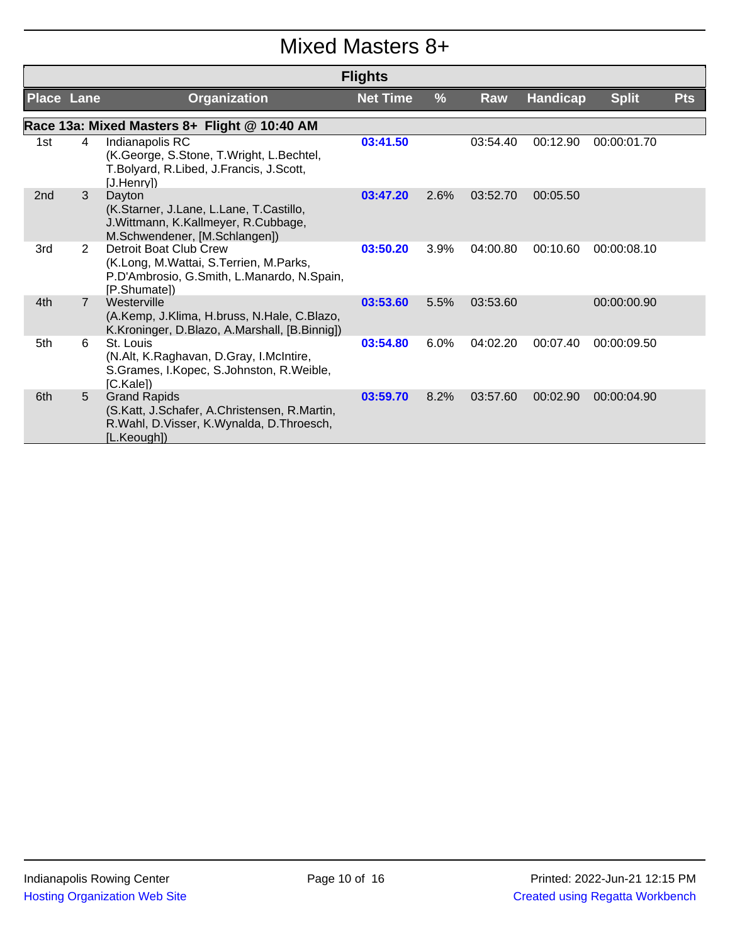## Mixed Masters 8+

|                   |                |                                                                                                                                | <b>Flights</b>  |      |          |                 |              |            |
|-------------------|----------------|--------------------------------------------------------------------------------------------------------------------------------|-----------------|------|----------|-----------------|--------------|------------|
| <b>Place Lane</b> |                | Organization                                                                                                                   | <b>Net Time</b> | %    | Raw      | <b>Handicap</b> | <b>Split</b> | <b>Pts</b> |
|                   |                | Race 13a: Mixed Masters 8+ Flight @ 10:40 AM                                                                                   |                 |      |          |                 |              |            |
| 1st               | 4              | Indianapolis RC<br>(K.George, S.Stone, T.Wright, L.Bechtel,<br>T.Bolyard, R.Libed, J.Francis, J.Scott,<br>[J.Henry])           | 03:41.50        |      | 03:54.40 | 00:12.90        | 00:00:01.70  |            |
| 2nd               | 3              | Dayton<br>(K.Starner, J.Lane, L.Lane, T.Castillo,<br>J. Wittmann, K. Kallmeyer, R. Cubbage,<br>M.Schwendener, [M.Schlangen])   | 03:47.20        | 2.6% | 03:52.70 | 00:05.50        |              |            |
| 3rd               | $\overline{2}$ | Detroit Boat Club Crew<br>(K.Long, M.Wattai, S.Terrien, M.Parks,<br>P.D'Ambrosio, G.Smith, L.Manardo, N.Spain,<br>[P.Shumate]) | 03:50.20        | 3.9% | 04:00.80 | 00:10.60        | 00:00:08.10  |            |
| 4th               | $\overline{7}$ | Westerville<br>(A.Kemp, J.Klima, H.bruss, N.Hale, C.Blazo,<br>K.Kroninger, D.Blazo, A.Marshall, [B.Binnig])                    | 03:53.60        | 5.5% | 03:53.60 |                 | 00:00:00.90  |            |
| 5th               | 6              | St. Louis<br>(N.Alt, K.Raghavan, D.Gray, I.McIntire,<br>S.Grames, I.Kopec, S.Johnston, R.Weible,<br>[C.Kale])                  | 03:54.80        | 6.0% | 04:02.20 | 00:07.40        | 00:00:09.50  |            |
| 6th               | 5              | <b>Grand Rapids</b><br>(S.Katt, J.Schafer, A.Christensen, R.Martin,<br>R.Wahl, D.Visser, K.Wynalda, D.Throesch,<br>[L.Keough]) | 03:59.70        | 8.2% | 03:57.60 | 00:02.90        | 00:00:04.90  |            |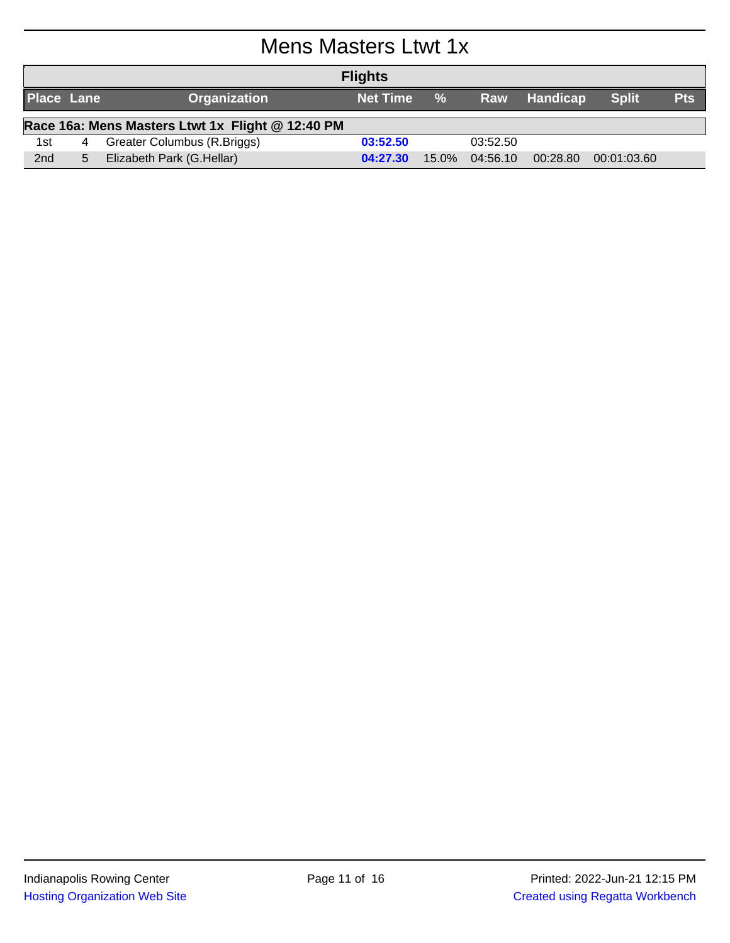## Mens Masters Ltwt 1x

| <b>Flights</b>    |                                                  |                              |                 |            |          |              |              |            |  |
|-------------------|--------------------------------------------------|------------------------------|-----------------|------------|----------|--------------|--------------|------------|--|
| <b>Place Lane</b> |                                                  | <b>Organization</b>          | <b>Net Time</b> | $\sqrt{9}$ |          | Raw Handicap | <b>Split</b> | <b>Pts</b> |  |
|                   | Race 16a: Mens Masters Ltwt 1x Flight @ 12:40 PM |                              |                 |            |          |              |              |            |  |
| 1st               | 4                                                | Greater Columbus (R. Briggs) | 03:52.50        |            | 03:52.50 |              |              |            |  |
| 2 <sub>nd</sub>   | 5.                                               | Elizabeth Park (G.Hellar)    | 04:27.30        | $15.0\%$   | 04:56.10 | 00:28.80     | 00:01:03.60  |            |  |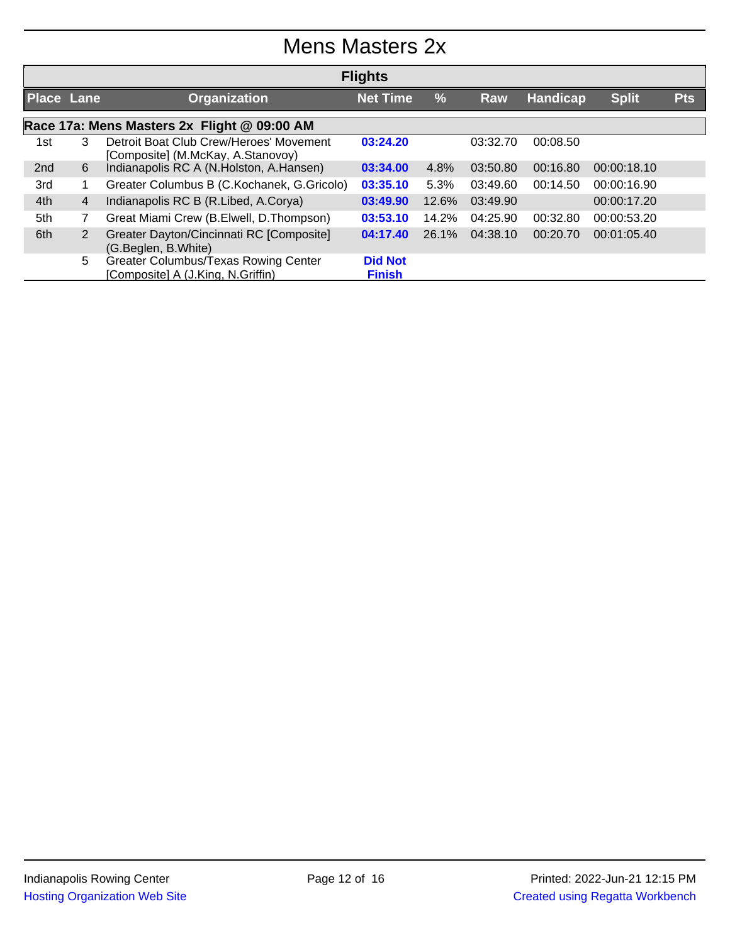## Mens Masters 2x

|                   | <b>Flights</b>                              |                                                                              |                                 |               |          |                 |              |            |  |  |
|-------------------|---------------------------------------------|------------------------------------------------------------------------------|---------------------------------|---------------|----------|-----------------|--------------|------------|--|--|
| <b>Place Lane</b> |                                             | <b>Organization</b>                                                          | <b>Net Time</b>                 | $\frac{9}{6}$ | Raw      | <b>Handicap</b> | <b>Split</b> | <b>Pts</b> |  |  |
|                   | Race 17a: Mens Masters 2x Flight @ 09:00 AM |                                                                              |                                 |               |          |                 |              |            |  |  |
| 1st               | 3                                           | Detroit Boat Club Crew/Heroes' Movement<br>[Composite] (M.McKay, A.Stanovoy) | 03:24.20                        |               | 03:32.70 | 00:08.50        |              |            |  |  |
| 2nd               | 6                                           | Indianapolis RC A (N.Holston, A.Hansen)                                      | 03:34.00                        | 4.8%          | 03:50.80 | 00:16.80        | 00:00:18.10  |            |  |  |
| 3rd               |                                             | Greater Columbus B (C.Kochanek, G.Gricolo)                                   | 03:35.10                        | 5.3%          | 03:49.60 | 00:14.50        | 00:00:16.90  |            |  |  |
| 4th               | $\overline{4}$                              | Indianapolis RC B (R.Libed, A.Corya)                                         | 03:49.90                        | 12.6%         | 03:49.90 |                 | 00:00:17.20  |            |  |  |
| 5th               | $\overline{7}$                              | Great Miami Crew (B.Elwell, D.Thompson)                                      | 03:53.10                        | 14.2%         | 04:25.90 | 00:32.80        | 00:00:53.20  |            |  |  |
| 6th               | 2                                           | Greater Dayton/Cincinnati RC [Composite]<br>(G.Beglen, B.White)              | 04:17.40                        | 26.1%         | 04:38.10 | 00:20.70        | 00:01:05.40  |            |  |  |
|                   | 5                                           | Greater Columbus/Texas Rowing Center<br>[Composite] A (J.King, N.Griffin)    | <b>Did Not</b><br><b>Finish</b> |               |          |                 |              |            |  |  |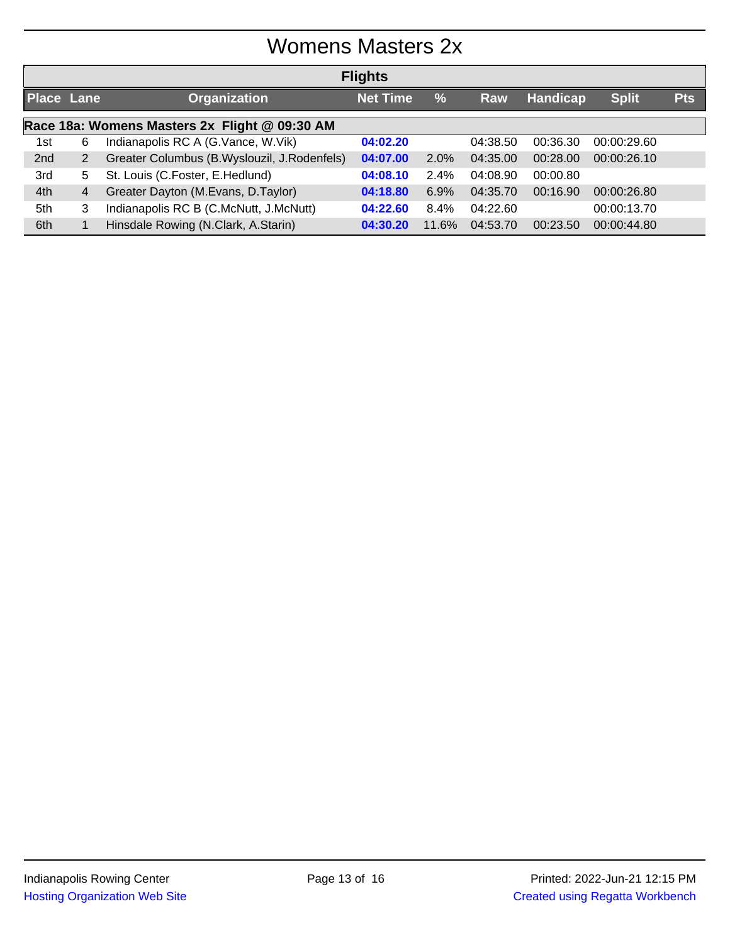## Womens Masters 2x

| <b>Flights</b>                                |                |                                             |                 |               |          |                 |              |            |  |
|-----------------------------------------------|----------------|---------------------------------------------|-----------------|---------------|----------|-----------------|--------------|------------|--|
| <b>Place Lane</b>                             |                | <b>Organization</b>                         | <b>Net Time</b> | $\frac{0}{0}$ | Raw      | <b>Handicap</b> | <b>Split</b> | <b>Pts</b> |  |
| Race 18a: Womens Masters 2x Flight @ 09:30 AM |                |                                             |                 |               |          |                 |              |            |  |
| 1st                                           | 6              | Indianapolis RC A (G.Vance, W.Vik)          | 04:02.20        |               | 04:38.50 | 00:36.30        | 00:00:29.60  |            |  |
| 2nd                                           | $\overline{2}$ | Greater Columbus (B.Wyslouzil, J.Rodenfels) | 04:07.00        | $2.0\%$       | 04:35.00 | 00:28.00        | 00:00:26.10  |            |  |
| 3rd                                           | 5.             | St. Louis (C.Foster, E.Hedlund)             | 04:08.10        | 2.4%          | 04:08.90 | 00:00.80        |              |            |  |
| 4th                                           | 4              | Greater Dayton (M.Evans, D.Taylor)          | 04:18.80        | 6.9%          | 04:35.70 | 00:16.90        | 00:00:26.80  |            |  |
| 5th                                           | 3              | Indianapolis RC B (C.McNutt, J.McNutt)      | 04:22.60        | 8.4%          | 04:22.60 |                 | 00:00:13.70  |            |  |
| 6th                                           |                | Hinsdale Rowing (N.Clark, A.Starin)         | 04:30.20        | 11.6%         | 04:53.70 | 00:23.50        | 00:00:44.80  |            |  |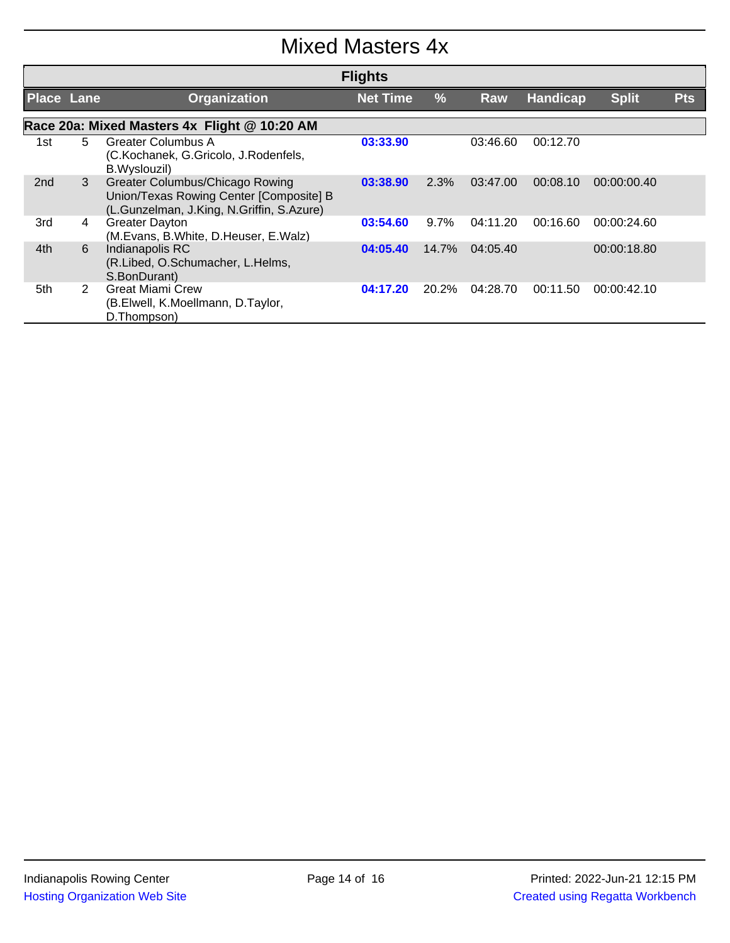## Mixed Masters 4x

| <b>Flights</b>    |    |                                                                                                                         |                 |         |          |          |              |            |  |
|-------------------|----|-------------------------------------------------------------------------------------------------------------------------|-----------------|---------|----------|----------|--------------|------------|--|
| <b>Place Lane</b> |    | <b>Organization</b>                                                                                                     | <b>Net Time</b> | $\%$    | Raw      | Handicap | <b>Split</b> | <b>Pts</b> |  |
|                   |    | Race 20a: Mixed Masters 4x Flight @ 10:20 AM                                                                            |                 |         |          |          |              |            |  |
| 1st               | 5. | <b>Greater Columbus A</b><br>(C.Kochanek, G.Gricolo, J.Rodenfels,<br>B.Wyslouzil)                                       | 03:33.90        |         | 03:46.60 | 00:12.70 |              |            |  |
| 2 <sub>nd</sub>   | 3  | Greater Columbus/Chicago Rowing<br>Union/Texas Rowing Center [Composite] B<br>(L.Gunzelman, J.King, N.Griffin, S.Azure) | 03:38.90        | 2.3%    | 03:47.00 | 00:08.10 | 00:00:00.40  |            |  |
| 3rd               | 4  | <b>Greater Dayton</b><br>(M.Evans, B.White, D.Heuser, E.Walz)                                                           | 03:54.60        | $9.7\%$ | 04:11.20 | 00:16.60 | 00:00:24.60  |            |  |
| 4th               | 6  | Indianapolis RC<br>(R.Libed, O.Schumacher, L.Helms,<br>S.BonDurant)                                                     | 04:05.40        | 14.7%   | 04:05.40 |          | 00:00:18.80  |            |  |
| 5th               | 2  | <b>Great Miami Crew</b><br>(B.Elwell, K.Moellmann, D.Taylor,<br>D.Thompson)                                             | 04:17.20        | 20.2%   | 04:28.70 | 00:11.50 | 00:00:42.10  |            |  |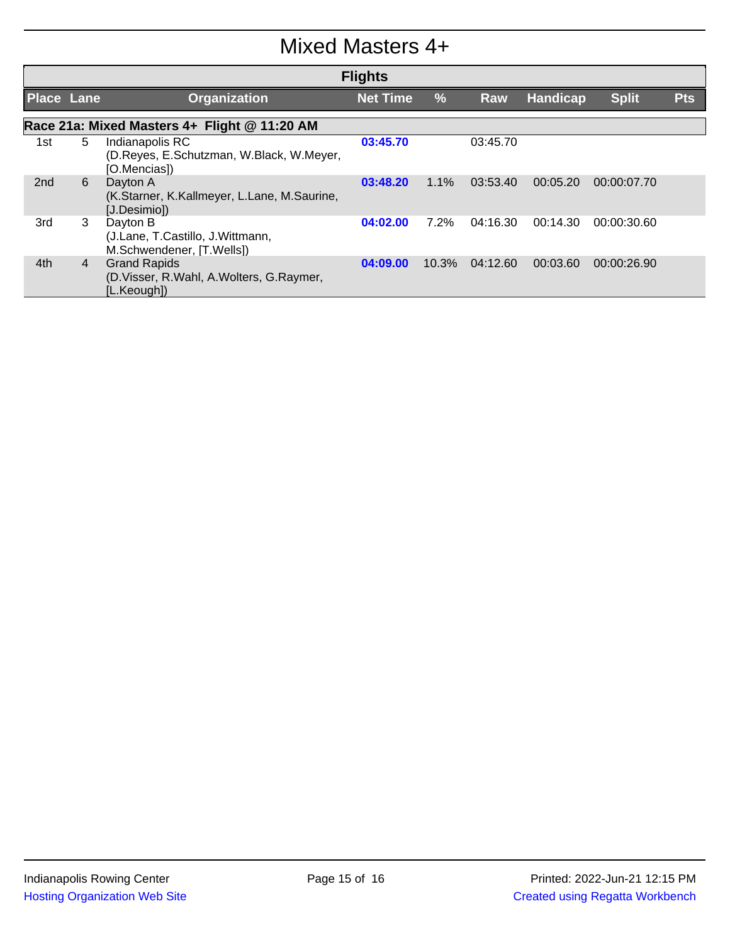#### Mixed Masters 4+

| <b>Flights</b>                               |   |                                                                                   |                 |               |          |                 |              |            |  |  |
|----------------------------------------------|---|-----------------------------------------------------------------------------------|-----------------|---------------|----------|-----------------|--------------|------------|--|--|
| <b>Place Lane</b>                            |   | <b>Organization</b>                                                               | <b>Net Time</b> | $\frac{9}{6}$ | Raw      | <b>Handicap</b> | <b>Split</b> | <b>Pts</b> |  |  |
| Race 21a: Mixed Masters 4+ Flight @ 11:20 AM |   |                                                                                   |                 |               |          |                 |              |            |  |  |
| 1st                                          | 5 | Indianapolis RC<br>(D.Reyes, E.Schutzman, W.Black, W.Meyer,<br>[O.Mencias])       | 03:45.70        |               | 03:45.70 |                 |              |            |  |  |
| 2nd                                          | 6 | Dayton A<br>(K.Starner, K.Kallmeyer, L.Lane, M.Saurine,<br>[J.Desimio])           | 03:48.20        | $1.1\%$       | 03:53.40 | 00:05.20        | 00:00:07.70  |            |  |  |
| 3rd                                          | 3 | Dayton B<br>(J.Lane, T.Castillo, J.Wittmann,<br>M.Schwendener, [T.Wells])         | 04:02.00        | $7.2\%$       | 04:16.30 | 00:14.30        | 00:00:30.60  |            |  |  |
| 4th                                          | 4 | <b>Grand Rapids</b><br>(D. Visser, R. Wahl, A. Wolters, G. Raymer,<br>[L.Keough]) | 04:09.00        | 10.3%         | 04:12.60 | 00:03.60        | 00:00:26.90  |            |  |  |